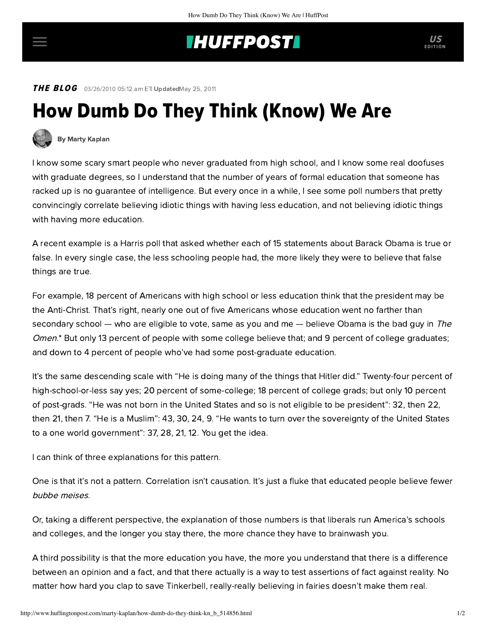## **INUFFPOST**

**THE BLOG** 03/26/2010 05:12 am ETI UpdatedMay 25, 2011

## How Dumb Do They Think (Know) We Are



[By Marty Kaplan](http://www.huffingtonpost.com/author/marty-kaplan)

I know some scary smart people who never graduated from high school, and I know some real doofuses with graduate degrees, so I understand that the number of years of formal education that someone has racked up is no guarantee of intelligence. But every once in a while, I see some poll numbers that pretty convincingly correlate believing idiotic things with having less education, and not believing idiotic things with having more education.

A recent example is [a Harris poll](http://news.harrisinteractive.com/profiles/investor/ResLibraryView.asp?BzID=1963&ResLibraryID=37050&Category=1777) that asked whether each of 15 statements about Barack Obama is true or false. In every single case, the less schooling people had, the more likely they were to believe that false things are true.

For example, 18 percent of Americans with high school or less education think that the president may be the Anti-Christ. That's right, nearly one out of five Americans whose education went no farther than secondary school — who are eligible to vote, same as you and me — believe Obama is the bad guy in The Omen.\* But only 13 percent of people with some college believe that; and 9 percent of college graduates; and down to 4 percent of people who've had some post-graduate education.

It's the same descending scale with "He is doing many of the things that Hitler did." Twenty-four percent of high-school-or-less say yes; 20 percent of some-college; 18 percent of college grads; but only 10 percent of post-grads. "He was not born in the United States and so is not eligible to be president": 32, then 22, then 21, then 7. "He is a Muslim": 43, 30, 24, 9. "He wants to turn over the sovereignty of the United States to a one world government": 37, 28, 21, 12. You get the idea.

I can think of three explanations for this pattern.

One is that it's not a pattern. Correlation isn't causation. It's just a fluke that educated people believe fewer bubbe [meises](http://en.wiktionary.org/wiki/bubbe_meise).

Or, taking a different perspective, the explanation of those numbers is that liberals run America's schools and colleges, and the longer you stay there, the more chance they have to brainwash you.

A third possibility is that the more education you have, the more you understand that there is a difference between an opinion and a fact, and that there actually is a way to test assertions of fact against reality. No matter how hard you clap to save Tinkerbell, really-really believing in fairies doesn't make them real.